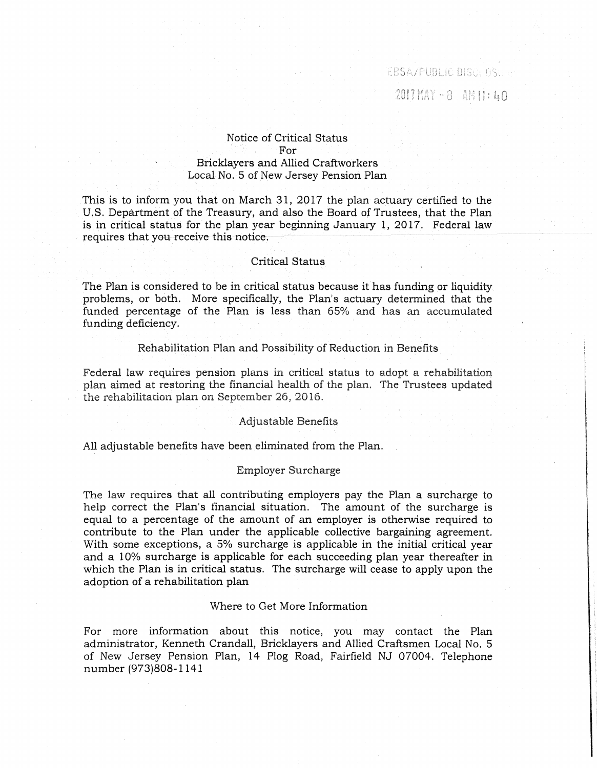EBSA/PUBLIC DISCLOSULE

 $2017$  MAY  $-8$  . AM 11:  $40$ 

## Notice of Critical Status For Bricklayers and Allied Craftworkers Local No. 5 of New Jersey Pension Plan

This is to inform you that on March 31, 2017 the plan actuary certified to the U.S. Department of the Treasury, and also the Board of Trustees, that the Plan is in critical status for the plan year beginning January l, 2017. Federal law requires that you receive this notice.

### Critical Status

The Plan is considered to be in critical status because it has funding or liquidity problems, or both. More specifically, the Plan's actuary determined that the funded percentage of the Plan is less than 65% and has an accumulated funding deficiency.

#### Rehabilitation Plan and Possibility of Reduction in Benefits

Federal law requires pension plans in critical status to adopt a rehabilitation plan aimed at restoring the financial health of the plan. The Trustees updated the rehabilitation plan on September 26, 2016.

#### Adjustable Benefits

All adjustable benefits have been eliminated from the Plan.

#### Employer Surcharge

The law requires that all contributing employers pay the Plan a surcharge to help correct the Plan's financial situation. The amount of the surcharge is equal to a percentage of the amount of an employer is otherwise required to contribute to the Plan under the applicable collective bargaining agreement. With some exceptions, a 5% surcharge is applicable in the initial critical year and a 10% surcharge is applicable for each succeeding plan year thereafter in which the Plan is in critical status. The surcharge will cease to apply upon the adoption of a rehabilitation plan

### Where to Get More Information

For more information about this notice, you may contact the Plan administrator, Kenneth Crandall, Bricklayers and Allied Craftsmen Local No. 5 of New Jersey Pension Plan, 14 Plog Road, Fairfield NJ 07004. Telephone number (973)808-1141